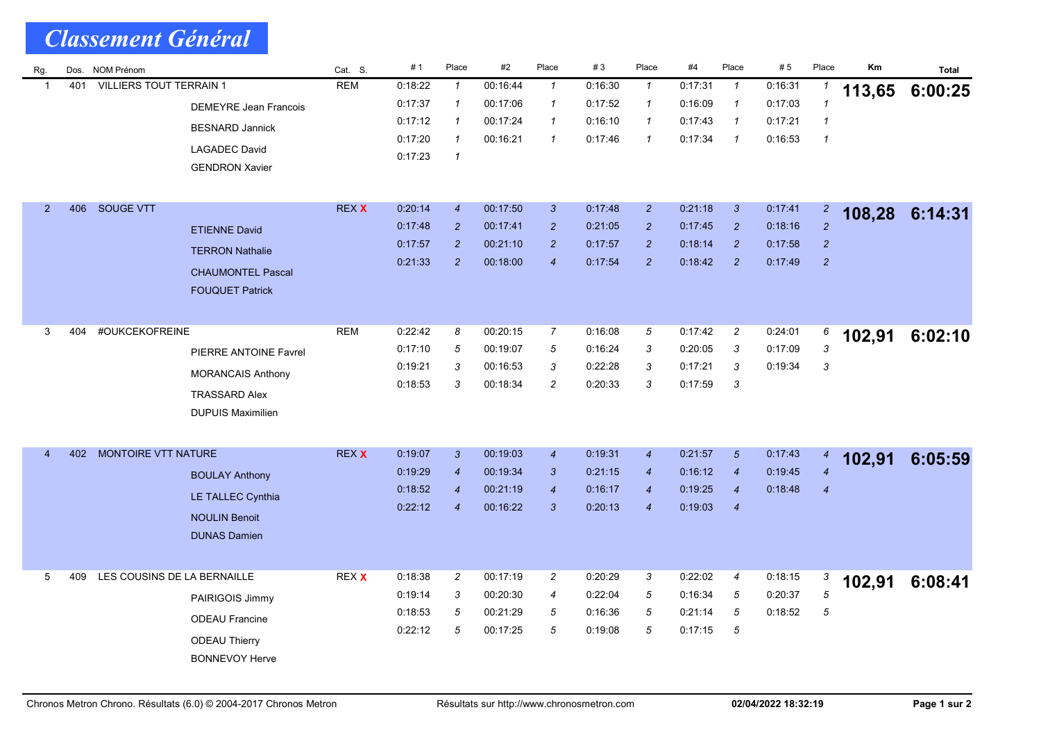| Rg.                                                   | Dos.           | NOM Prénom                  |                              | Cat. S.       | # 1      | Place            | #2       | Place            | #3      | Place          | #4             | Place                      | # 5     | Place            | Km      | <b>Total</b> |
|-------------------------------------------------------|----------------|-----------------------------|------------------------------|---------------|----------|------------------|----------|------------------|---------|----------------|----------------|----------------------------|---------|------------------|---------|--------------|
| <b>VILLIERS TOUT TERRAIN 1</b><br>401<br>$\mathbf{1}$ |                | <b>REM</b>                  | 0:18:22                      | $\mathcal{I}$ | 00:16:44 | $\mathbf{1}$     | 0:16:30  | $\mathcal{I}$    | 0:17:31 | $\mathcal I$   | 0:16:31        |                            | 113,65  | 6:00:25          |         |              |
|                                                       |                |                             | <b>DEMEYRE Jean Francois</b> |               | 0:17:37  | $\mathbf{1}$     | 00:17:06 | $\mathbf{1}$     | 0:17:52 | $\mathbf{1}$   | 0:16:09        | $\mathbf{1}$               | 0:17:03 | $\mathbf{1}$     |         |              |
|                                                       |                |                             | <b>BESNARD Jannick</b>       |               | 0:17:12  | $\mathbf{1}$     | 00:17:24 | $\mathcal I$     | 0:16:10 | $\mathcal I$   | 0:17:43        | $\mathbf{1}$               | 0:17:21 | $\mathbf{1}$     |         |              |
|                                                       |                |                             | <b>LAGADEC David</b>         |               | 0:17:20  | $\mathcal I$     | 00:16:21 | $\mathbf{1}$     | 0:17:46 | $\mathbf{1}$   | 0:17:34        | $\overline{1}$             | 0.16.53 | $\mathbf{1}$     |         |              |
|                                                       |                |                             | <b>GENDRON Xavier</b>        |               | 0:17:23  | $\mathcal I$     |          |                  |         |                |                |                            |         |                  |         |              |
|                                                       |                |                             |                              |               |          |                  |          |                  |         |                |                |                            |         |                  |         |              |
| $\overline{2}$                                        | 406            | <b>SOUGE VTT</b>            |                              | <b>REX X</b>  | 0:20:14  | $\boldsymbol{4}$ | 00:17:50 | 3                | 0:17:48 | $\overline{2}$ | 0:21:18        | $\mathbf{3}$               | 0:17:41 | $\overline{2}$   |         |              |
|                                                       |                |                             | <b>ETIENNE David</b>         |               | 0.17.48  | $\overline{c}$   | 00:17:41 | $\overline{c}$   | 0:21:05 | $\overline{2}$ | 0.17.45        | $\overline{2}$             | 0:18:16 | $\overline{2}$   | 108,28  | 6:14:31      |
|                                                       |                |                             |                              |               | 0.17.57  | $\overline{c}$   | 00:21:10 | $\overline{2}$   | 0.17.57 | $\overline{2}$ | 0:18:14        | $\overline{2}$             | 0:17:58 | $\overline{2}$   |         |              |
|                                                       |                |                             | <b>TERRON Nathalie</b>       |               | 0.21.33  | $\overline{2}$   | 00:18:00 | $\overline{4}$   | 0:17:54 | $\overline{2}$ | 0.18.42        | $\overline{2}$             | 0:17:49 | $\overline{c}$   |         |              |
|                                                       |                |                             | <b>CHAUMONTEL Pascal</b>     |               |          |                  |          |                  |         |                |                |                            |         |                  |         |              |
|                                                       |                |                             | <b>FOUQUET Patrick</b>       |               |          |                  |          |                  |         |                |                |                            |         |                  |         |              |
|                                                       |                |                             |                              |               |          |                  |          |                  |         |                |                |                            |         |                  |         |              |
| 404<br>3                                              | #OUKCEKOFREINE |                             | <b>REM</b>                   | 0:22:42       | 8        | 00:20:15         | 7        | 0:16:08          | 5       | 0:17:42        | $\overline{c}$ | 0:24:01                    | 6       | 102,91           | 6:02:10 |              |
|                                                       |                |                             | PIERRE ANTOINE Favrel        |               | 0:17:10  | 5                | 00:19:07 | 5                | 0:16:24 | 3              | 0:20:05        | 3                          | 0.17:09 | 3                |         |              |
|                                                       |                |                             | <b>MORANCAIS Anthony</b>     |               | 0:19:21  | 3                | 00:16:53 | 3                | 0.22.28 | 3              | 0:17:21        | 3                          | 0:19:34 | $\mathbf{3}$     |         |              |
|                                                       |                |                             | <b>TRASSARD Alex</b>         |               | 0:18:53  | 3                | 00:18:34 | $\overline{c}$   | 0:20:33 | 3              | 0:17:59        | $\boldsymbol{\mathcal{S}}$ |         |                  |         |              |
|                                                       |                |                             | <b>DUPUIS Maximilien</b>     |               |          |                  |          |                  |         |                |                |                            |         |                  |         |              |
|                                                       |                |                             |                              |               |          |                  |          |                  |         |                |                |                            |         |                  |         |              |
| 402<br>4                                              |                | <b>MONTOIRE VTT NATURE</b>  |                              | <b>REX X</b>  | 0.19:07  | 3                | 00:19:03 | $\boldsymbol{4}$ | 0.19.31 | $\overline{4}$ | 0:21:57        | $\sqrt{5}$                 | 0:17:43 | $\boldsymbol{4}$ |         |              |
|                                                       |                |                             |                              |               | 0:19:29  | $\boldsymbol{4}$ | 00:19:34 | 3                | 0:21:15 | $\overline{4}$ | 0:16:12        | $\overline{4}$             | 0:19:45 | $\overline{4}$   | 102,91  | 6:05:59      |
|                                                       |                |                             | <b>BOULAY Anthony</b>        |               | 0:18:52  | $\boldsymbol{4}$ | 00:21:19 | $\boldsymbol{4}$ | 0:16:17 | $\overline{4}$ | 0:19:25        | $\boldsymbol{4}$           | 0.18.48 | $\overline{4}$   |         |              |
|                                                       |                |                             | LE TALLEC Cynthia            |               | 0:22:12  | $\boldsymbol{4}$ | 00:16:22 | $\mathbf{3}$     | 0:20:13 | $\overline{4}$ | 0:19:03        | $\overline{4}$             |         |                  |         |              |
|                                                       |                |                             | <b>NOULIN Benoit</b>         |               |          |                  |          |                  |         |                |                |                            |         |                  |         |              |
|                                                       |                |                             | <b>DUNAS Damien</b>          |               |          |                  |          |                  |         |                |                |                            |         |                  |         |              |
|                                                       |                |                             |                              |               |          |                  |          |                  |         |                |                |                            |         |                  |         |              |
| 409<br>5                                              |                | LES COUSINS DE LA BERNAILLE |                              | REX X         | 0.18.38  | $\overline{c}$   | 00:17:19 | $\overline{c}$   | 0:20:29 | 3              | 0:22:02        | $\boldsymbol{4}$           | 0:18:15 | 3                | 102,91  | 6:08:41      |
|                                                       |                |                             | PAIRIGOIS Jimmy              |               | 0.19.14  | 3                | 00:20:30 | 4                | 0:22:04 | 5              | 0:16:34        | 5                          | 0:20:37 | $\overline{5}$   |         |              |
|                                                       |                |                             | <b>ODEAU Francine</b>        |               | 0:18:53  | 5                | 00:21:29 | 5                | 0:16:36 | 5              | 0:21:14        | 5                          | 0:18:52 | 5                |         |              |
|                                                       |                |                             | <b>ODEAU Thierry</b>         |               | 0:22:12  | 5                | 00:17:25 | 5                | 0:19:08 | 5              | 0:17:15        | 5                          |         |                  |         |              |
|                                                       |                |                             | <b>BONNEVOY Herve</b>        |               |          |                  |          |                  |         |                |                |                            |         |                  |         |              |
|                                                       |                |                             |                              |               |          |                  |          |                  |         |                |                |                            |         |                  |         |              |